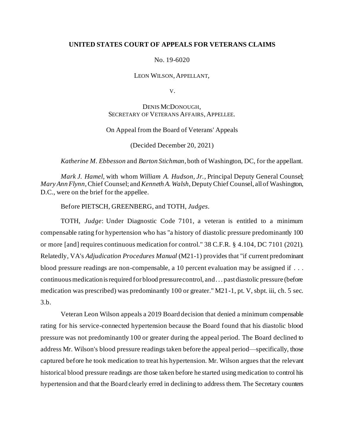### **UNITED STATES COURT OF APPEALS FOR VETERANS CLAIMS**

#### No. 19-6020

#### LEON WILSON, APPELLANT,

V.

## DENIS MCDONOUGH, SECRETARY OF VETERANS AFFAIRS, APPELLEE.

#### On Appeal from the Board of Veterans' Appeals

#### (Decided December 20, 2021)

#### *Katherine M. Ebbesson* and *Barton Stichman*, both of Washington, DC, for the appellant.

*Mark J. Hamel*, with whom *William A. Hudson, Jr.,* Principal Deputy General Counsel; *Mary Ann Flynn*, Chief Counsel; and *Kenneth A. Walsh*, Deputy Chief Counsel, all of Washington, D.C., were on the brief for the appellee.

#### Before PIETSCH, GREENBERG, and TOTH, *Judges*.

TOTH, *Judge*: Under Diagnostic Code 7101, a veteran is entitled to a minimum compensable rating for hypertension who has "a history of diastolic pressure predominantly 100 or more [and] requires continuous medication for control." 38 C.F.R. § 4.104, DC 7101 (2021). Relatedly, VA's *Adjudication Procedures Manual* (M21-1) provides that "if current predominant blood pressure readings are non-compensable, a 10 percent evaluation may be assigned if . . . continuous medication is required for blood pressure control, and . . . past diastolic pressure (before medication was prescribed) was predominantly 100 or greater." M21-1, pt. V, sbpt. iii, ch. 5 sec. 3.b.

Veteran Leon Wilson appeals a 2019 Board decision that denied a minimum compensable rating for his service-connected hypertension because the Board found that his diastolic blood pressure was not predominantly 100 or greater during the appeal period. The Board declined to address Mr. Wilson's blood pressure readings taken before the appeal period—specifically, those captured before he took medication to treat his hypertension. Mr. Wilson argues that the relevant historical blood pressure readings are those taken before he started using medication to control his hypertension and that the Board clearly erred in declining to address them. The Secretary counters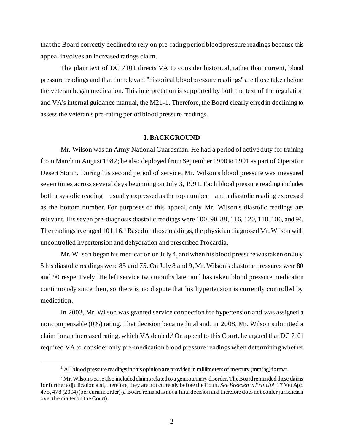that the Board correctly declined to rely on pre-rating period blood pressure readings because this appeal involves an increased ratings claim.

The plain text of DC 7101 directs VA to consider historical, rather than current, blood pressure readings and that the relevant "historical blood pressure readings" are those taken before the veteran began medication. This interpretation is supported by both the text of the regulation and VA's internal guidance manual, the M21-1. Therefore, the Board clearly erred in declining to assess the veteran's pre-rating period blood pressure readings.

#### **I. BACKGROUND**

Mr. Wilson was an Army National Guardsman. He had a period of active duty for training from March to August 1982; he also deployed from September 1990 to 1991 as part of Operation Desert Storm. During his second period of service, Mr. Wilson's blood pressure was measured seven times across several days beginning on July 3, 1991. Each blood pressure reading includes both a systolic reading—usually expressed as the top number—and a diastolic reading expressed as the bottom number. For purposes of this appeal, only Mr. Wilson's diastolic readings are relevant. His seven pre-diagnosis diastolic readings were 100, 90, 88, 116, 120, 118, 106, and 94. The readings averaged 101.16.<sup>1</sup> Based on those readings, the physician diagnosed Mr. Wilson with uncontrolled hypertension and dehydration and prescribed Procardia.

Mr. Wilson began his medication on July 4, and when his blood pressure was taken on July 5 his diastolic readings were 85 and 75. On July 8 and 9, Mr. Wilson's diastolic pressures were 80 and 90 respectively. He left service two months later and has taken blood pressure medication continuously since then, so there is no dispute that his hypertension is currently controlled by medication.

In 2003, Mr. Wilson was granted service connection for hypertension and was assigned a noncompensable (0%) rating. That decision became final and, in 2008, Mr. Wilson submitted a claim for an increased rating, which VA denied. <sup>2</sup> On appeal to this Court, he argued that DC 7101 required VA to consider only pre-medication blood pressure readings when determining whether

<sup>&</sup>lt;sup>1</sup> All blood pressure readings in this opinion are provided in millimeters of mercury (mm/hg) format.

 $2^2$ Mr. Wilson's case also included claims related to a genitourinary disorder. The Board remanded these claims for further adjudication and, therefore, they are not currently before the Court. *See Breeden v. Principi*, 17 Vet.App. 475, 478 (2004) (per curiam order) (a Board remand is not a final decision and therefore does not confer jurisdiction over the matter on the Court).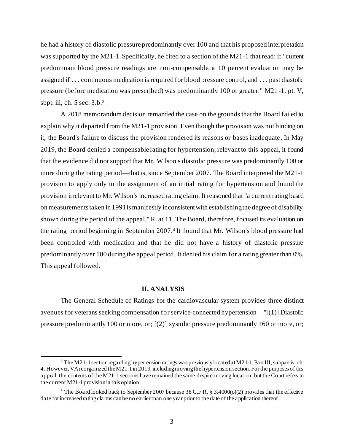he had a history of diastolic pressure predominantly over 100 and that his proposed interpretation was supported by the M21-1. Specifically, he cited to a section of the M21-1 that read: if "current" predominant blood pressure readings are non-compensable, a 10 percent evaluation may be assigned if . . . continuous medication is required for blood pressure control, and . . . past diastolic pressure (before medication was prescribed) was predominantly 100 or greater." M21 -1, pt. V, sbpt. iii, ch. 5 sec. 3.b.<sup>3</sup>

A 2018 memorandum decision remanded the case on the grounds that the Board failed to explain why it departed from the M21-1 provision. Even though the provision was not binding on it, the Board's failure to discuss the provision rendered its reasons or bases inadequate . In May 2019, the Board denied a compensable rating for hypertension; relevant to this appeal, it found that the evidence did not support that Mr. Wilson's diastolic pressure was predominantly 100 or more during the rating period—that is, since September 2007. The Board interpreted the M21-1 provision to apply only to the assignment of an initial rating for hypertension and found the provision irrelevant to Mr. Wilson's increased rating claim. It reasoned that "a current rating based on measurements taken in 1991 is manifestly inconsistent with establishing the degree of disability shown during the period of the appeal." R. at 11. The Board, therefore, focused its evaluation on the rating period beginning in September 2007. 4 It found that Mr. Wilson's blood pressure had been controlled with medication and that he did not have a history of diastolic pressure predominantly over 100 during the appeal period. It denied his claim for a rating greater than 0%. This appeal followed.

#### **II. ANALYSIS**

The General Schedule of Ratings for the cardiovascular system provides three distinct avenues for veterans seeking compensation for service-connected hypertension—"[(1)] Diastolic pressure predominantly 100 or more, or; [(2)] systolic pressure predominantly 160 or more, or;

<sup>&</sup>lt;sup>3</sup> The M21-1 section regarding hypertension ratings was previously located at M21-1, Part III, subpart iv, ch. 4. However, VA reorganized the M21-1in 2019, including moving the hypertension section. For the purposes of this appeal, the contents of the M21-1 sections have remained the same despite moving location, but the Court refers to the current M21-1 provision in this opinion.

<sup>&</sup>lt;sup>4</sup> The Board looked back to September 2007 because 38 C.F.R. § 3.4000( $o(2)$ ) provides that the effective date for increased rating claims can be no earlier than one year prior to the date of the application thereof.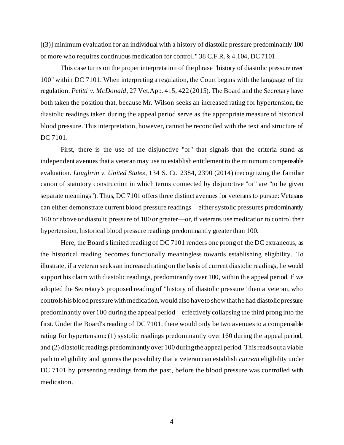[(3)] minimum evaluation for an individual with a history of diastolic pressure predominantly 100 or more who requires continuous medication for control." 38 C.F.R. § 4.104, DC 7101.

This case turns on the proper interpretation of the phrase "history of diastolic pressure over 100" within DC 7101. When interpreting a regulation, the Court begins with the language of the regulation. *Petitti v. McDonald*, 27 Vet.App. 415, 422 (2015). The Board and the Secretary have both taken the position that, because Mr. Wilson seeks an increased rating for hypertension, the diastolic readings taken during the appeal period serve as the appropriate measure of historical blood pressure. This interpretation, however, cannot be reconciled with the text and structure of DC 7101.

First, there is the use of the disjunctive "or" that signals that the criteria stand as independent avenues that a veteran may use to establish entitlement to the minimum compensable evaluation. *Loughrin v. United States*, 134 S. Ct. 2384, 2390 (2014) (recognizing the familiar canon of statutory construction in which terms connected by disjunc tive "or" are "to be given separate meanings"). Thus, DC 7101 offers three distinct avenues for veterans to pursue: Veterans can either demonstrate current blood pressure readings—either systolic pressures predominantly 160 or above or diastolic pressure of 100 or greater—or, if veterans use medication to control their hypertension, historical blood pressure readings predominantly greater than 100.

Here, the Board's limited reading of DC 7101 renders one prong of the DC extraneous, as the historical reading becomes functionally meaningless towards establishing eligibility. To illustrate, if a veteran seeks an increased rating on the basis of current diastolic readings, he would support his claim with diastolic readings, predominantly over 100, within the appeal period. If we adopted the Secretary's proposed reading of "history of diastolic pressure" then a veteran, who controls his blood pressure with medication, would also have to show that he had diastolic pressure predominantly over 100 during the appeal period—effectively collapsing the third prong into the first. Under the Board's reading of DC 7101, there would only be two avenues to a compensable rating for hypertension: (1) systolic readings predominantly over 160 during the appeal period, and (2) diastolic readings predominantly over 100 during the appeal period. This reads out a viable path to eligibility and ignores the possibility that a veteran can establish *current* eligibility under DC 7101 by presenting readings from the past, before the blood pressure was controlled with medication.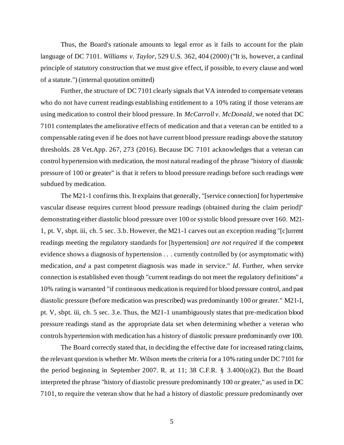Thus, the Board's rationale amounts to legal error as it fails to account for the plain language of DC 7101. *Williams v. Taylor*, 529 U.S. 362, 404 (2000) ("It is, however, a cardinal principle of statutory construction that we must give effect, if possible, to every clause and word of a statute.") (internal quotation omitted)

Further, the structure of DC 7101 clearly signals that VA intended to compensate veterans who do not have current readings establishing entitlement to a 10% rating if those veterans are using medication to control their blood pressure. In *McCarroll v. McDonald*, we noted that DC 7101 contemplates the ameliorative effects of medication and that a veteran can be entitled to a compensable rating even if he does not have current blood pressure readings above the statutory thresholds. 28 Vet.App. 267, 273 (2016). Because DC 7101 acknowledges that a veteran can control hypertension with medication, the most natural reading of the phrase "history of diastolic pressure of 100 or greater" is that it refers to blood pressure readings before such readings were subdued by medication.

The M21-1 confirms this. It explains that generally, "[service connection] for hypertensive vascular disease requires current blood pressure readings (obtained during the claim period)" demonstrating either diastolic blood pressure over 100 or systolic blood pressure over 160. M21- 1, pt. V, sbpt. iii, ch. 5 sec. 3.b. However, the M21-1 carves out an exception reading "[c]urrent readings meeting the regulatory standards for [hypertension] *are not required* if the competent evidence shows a diagnosis of hypertension . . . currently controlled by (or asymptomatic with) medication, *and* a past competent diagnosis was made in service." *Id*. Further, when service connection is established even though "current readings do not meet the regulatory definitions" a 10% rating is warranted "if continuous medication is required for blood pressure control, and past diastolic pressure (before medication was prescribed) was predominantly 100 or greater." M21-1, pt. V, sbpt. iii, ch. 5 sec. 3.e. Thus, the M21-1 unambiguously states that pre-medication blood pressure readings stand as the appropriate data set when determining whether a veteran who controls hypertension with medication has a history of diastolic pressure predominantly over 100.

The Board correctly stated that, in deciding the effective date for increased rating claims, the relevant question is whether Mr. Wilson meets the criteria for a 10% rating under DC 7101 for the period beginning in September 2007. R. at 11; 38 C.F.R. § 3.400(o)(2). But the Board interpreted the phrase "history of diastolic pressure predominantly 100 or greater," as used in DC 7101, to require the veteran show that he had a history of diastolic pressure predominantly over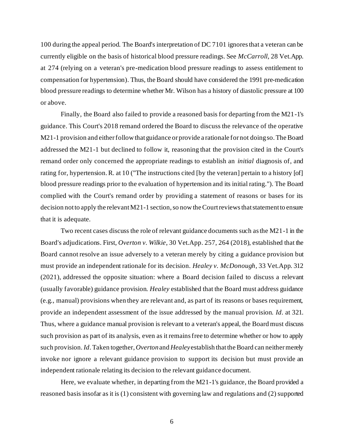100 during the appeal period. The Board's interpretation of DC 7101 ignores that a veteran can be currently eligible on the basis of historical blood pressure readings. See *McCarroll*, 28 Vet.App. at 274 (relying on a veteran's pre-medication blood pressure readings to assess entitlement to compensation for hypertension). Thus, the Board should have considered the 1991 pre-medication blood pressure readings to determine whether Mr. Wilson has a history of diastolic pressure at 100 or above.

Finally, the Board also failed to provide a reasoned basis for departing from the M21-1's guidance. This Court's 2018 remand ordered the Board to discuss the relevance of the operative M21-1 provision and either follow that guidance or provide a rationale for not doing so.The Board addressed the M21-1 but declined to follow it, reasoning that the provision cited in the Court's remand order only concerned the appropriate readings to establish an *initial* diagnosis of, and rating for, hypertension. R. at 10 ("The instructions cited [by the veteran] pertain to a history [of] blood pressure readings prior to the evaluation of hypertension and its initial rating."). The Board complied with the Court's remand order by providing a statement of reasons or bases for its decision not to apply the relevant M21-1 section, so now the Court reviews that statement to ensure that it is adequate.

Two recent cases discuss the role of relevant guidance documents such as the M21-1 in the Board's adjudications. First, *Overton v. Wilkie*, 30 Vet.App. 257, 264 (2018), established that the Board cannot resolve an issue adversely to a veteran merely by citing a guidance provision but must provide an independent rationale for its decision. *Healey v. McDonough*, 33 Vet.App. 312 (2021), addressed the opposite situation: where a Board decision failed to discuss a relevant (usually favorable) guidance provision. *Healey* established that the Board must address guidance (e.g., manual) provisions when they are relevant and, as part of its reasons or bases requirement, provide an independent assessment of the issue addressed by the manual provision. *Id*. at 321. Thus, where a guidance manual provision is relevant to a veteran's appeal, the Board must discuss such provision as part of its analysis, even as it remains free to determine whether or how to apply such provision. *Id*. Taken together, *Overton* and *Healey* establish that the Board can neither merely invoke nor ignore a relevant guidance provision to support its decision but must provide an independent rationale relating its decision to the relevant guidance document.

Here, we evaluate whether, in departing from the M21-1's guidance, the Board provided a reasoned basis insofar as it is (1) consistent with governing law and regulations and (2) supported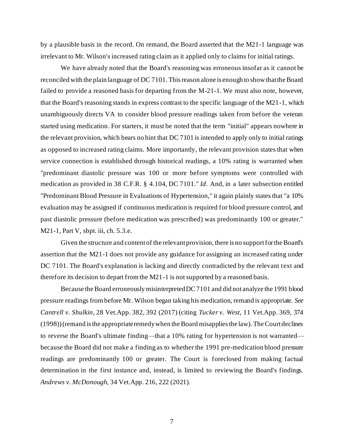by a plausible basis in the record. On remand, the Board asserted that the M21-1 language was irrelevant to Mr. Wilson's increased rating claim as it applied only to claims for initial ratings.

We have already noted that the Board's reasoning was erroneous insofar as it cannot be reconciled with the plain language of DC 7101. This reason alone is enough to show that the Board failed to provide a reasoned basis for departing from the M-21-1. We must also note, however, that the Board's reasoning stands in express contrast to the specific language of the M21-1, which unambiguously directs VA to consider blood pressure readings taken from before the veteran started using medication. For starters, it must be noted that the term "initial" appears nowhere in the relevant provision, which bears no hint that DC 7101 is intended to apply only to initial ratings as opposed to increased rating claims. More importantly, the relevant provision states that when service connection is established through historical readings, a 10% rating is warranted when "predominant diastolic pressure was 100 or more before symptoms were controlled with medication as provided in 38 C.F.R. § 4.104, DC 7101." *Id*. And, in a later subsection entitled "Predominant Blood Pressure in Evaluations of Hypertension," it again plainly states that "a 10% evaluation may be assigned if continuous medication is required for blood pressure control, and past diastolic pressure (before medication was prescribed) was predominantly 100 or greater." M21-1, Part V, sbpt. iii, ch. 5.3.e.

Given the structure and content of the relevant provision, there is no support for the Board's assertion that the M21-1 does not provide any guidance for assigning an increased rating under DC 7101. The Board's explanation is lacking and directly contradicted by the relevant text and therefore its decision to depart from the M21-1 is not supported by a reasoned basis.

Because the Board erroneously misinterpreted DC 7101 and did not analyze the 1991 blood pressure readings from before Mr. Wilson began taking his medication, remand is appropriate. *See Cantrell v. Shulkin*, 28 Vet.App. 382, 392 (2017) (citing *Tucker v. West*, 11 Vet.App. 369, 374 (1998)) (remand is the appropriate remedy when the Board misapplies the law). The Court declines to reverse the Board's ultimate finding—that a 10% rating for hypertension is not warranted because the Board did not make a finding as to whether the 1991 pre-medication blood pressure readings are predominantly 100 or greater. The Court is foreclosed from making factual determination in the first instance and, instead, is limited to reviewing the Board's findings. *Andrews v. McDonough*, 34 Vet.App. 216, 222 (2021).